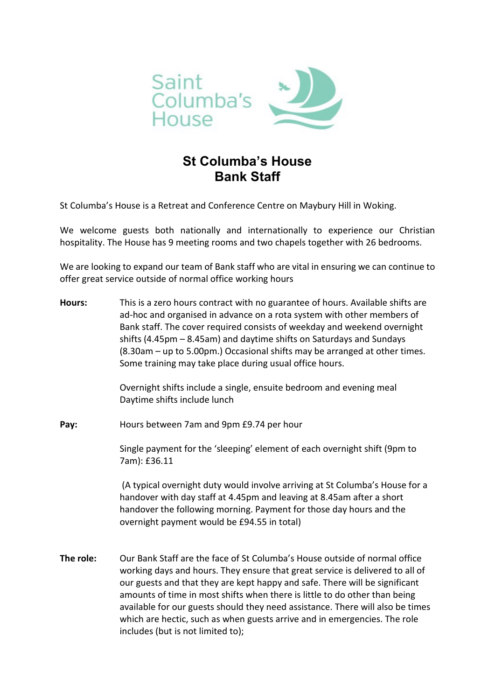

## **St Columba's House Bank Staff**

St Columba's House is a Retreat and Conference Centre on Maybury Hill in Woking.

We welcome guests both nationally and internationally to experience our Christian hospitality. The House has 9 meeting rooms and two chapels together with 26 bedrooms.

We are looking to expand our team of Bank staff who are vital in ensuring we can continue to offer great service outside of normal office working hours

**Hours:** This is a zero hours contract with no guarantee of hours. Available shifts are ad-hoc and organised in advance on a rota system with other members of Bank staff. The cover required consists of weekday and weekend overnight shifts (4.45pm – 8.45am) and daytime shifts on Saturdays and Sundays (8.30am – up to 5.00pm.) Occasional shifts may be arranged at other times. Some training may take place during usual office hours.

> Overnight shifts include a single, ensuite bedroom and evening meal Daytime shifts include lunch

**Pay:** Hours between 7am and 9pm £9.74 per hour

Single payment for the 'sleeping' element of each overnight shift (9pm to 7am): £36.11

(A typical overnight duty would involve arriving at St Columba's House for a handover with day staff at 4.45pm and leaving at 8.45am after a short handover the following morning. Payment for those day hours and the overnight payment would be £94.55 in total)

**The role:** Our Bank Staff are the face of St Columba's House outside of normal office working days and hours. They ensure that great service is delivered to all of our guests and that they are kept happy and safe. There will be significant amounts of time in most shifts when there is little to do other than being available for our guests should they need assistance. There will also be times which are hectic, such as when guests arrive and in emergencies. The role includes (but is not limited to);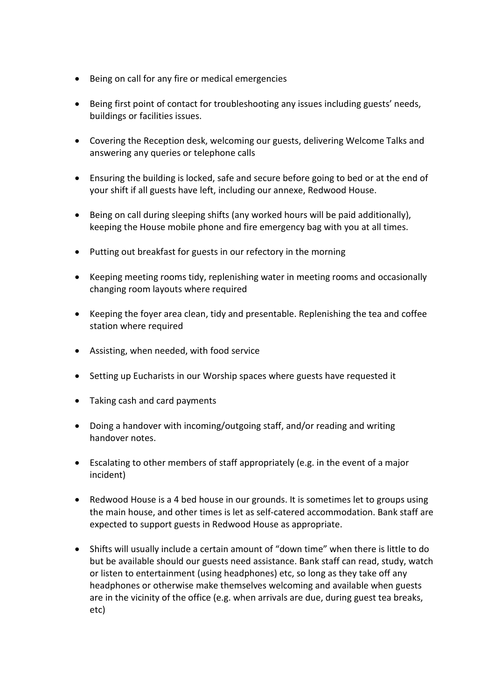- Being on call for any fire or medical emergencies
- Being first point of contact for troubleshooting any issues including guests' needs, buildings or facilities issues.
- Covering the Reception desk, welcoming our guests, delivering Welcome Talks and answering any queries or telephone calls
- Ensuring the building is locked, safe and secure before going to bed or at the end of your shift if all guests have left, including our annexe, Redwood House.
- Being on call during sleeping shifts (any worked hours will be paid additionally), keeping the House mobile phone and fire emergency bag with you at all times.
- Putting out breakfast for guests in our refectory in the morning
- Keeping meeting rooms tidy, replenishing water in meeting rooms and occasionally changing room layouts where required
- Keeping the foyer area clean, tidy and presentable. Replenishing the tea and coffee station where required
- Assisting, when needed, with food service
- Setting up Eucharists in our Worship spaces where guests have requested it
- Taking cash and card payments
- Doing a handover with incoming/outgoing staff, and/or reading and writing handover notes.
- Escalating to other members of staff appropriately (e.g. in the event of a major incident)
- Redwood House is a 4 bed house in our grounds. It is sometimes let to groups using the main house, and other times is let as self-catered accommodation. Bank staff are expected to support guests in Redwood House as appropriate.
- Shifts will usually include a certain amount of "down time" when there is little to do but be available should our guests need assistance. Bank staff can read, study, watch or listen to entertainment (using headphones) etc, so long as they take off any headphones or otherwise make themselves welcoming and available when guests are in the vicinity of the office (e.g. when arrivals are due, during guest tea breaks, etc)